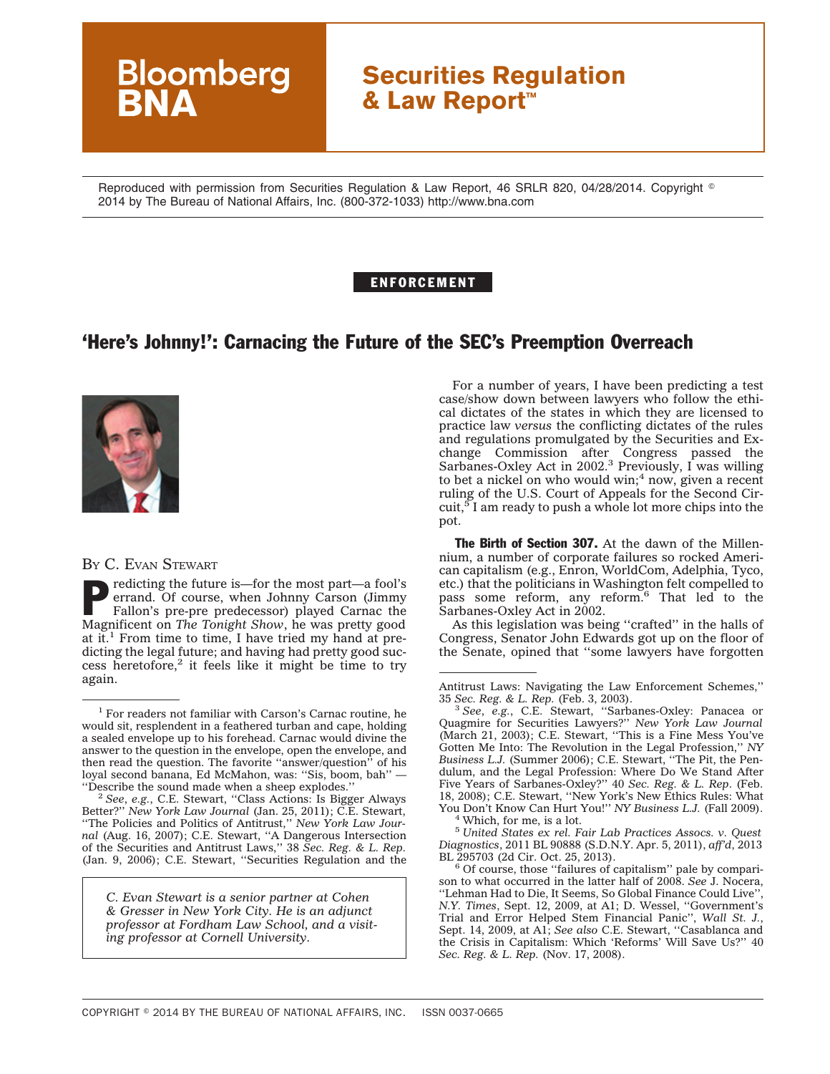## **Securities Regulation & Law Report™**

Reproduced with permission from Securities Regulation & Law Report, 46 SRLR 820, 04/28/2014. Copyright © 2014 by The Bureau of National Affairs, Inc. (800-372-1033) http://www.bna.com

## ENFORCEMENT

## 'Here's Johnny!': Carnacing the Future of the SEC's Preemption Overreach



**Bloomberg** 

## BY C. EVAN STEWART

redicting the future is—for the most part—a fool's errand. Of course, when Johnny Carson (Jimmy Fallon's pre-pre predecessor) played Carnac the Magnificent on *The Tonight Show*, he was pretty good at it.<sup>1</sup> From time to time, I have tried my hand at predicting the legal future; and having had pretty good suc $cess$  heretofore,<sup>2</sup> it feels like it might be time to try again.

<sup>2</sup> See, e.g., C.E. Stewart, "Class Actions: Is Bigger Always Better?'' *New York Law Journal* (Jan. 25, 2011); C.E. Stewart, ''The Policies and Politics of Antitrust,'' *New York Law Journal* (Aug. 16, 2007); C.E. Stewart, ''A Dangerous Intersection of the Securities and Antitrust Laws,'' 38 *Sec. Reg. & L. Rep.* (Jan. 9, 2006); C.E. Stewart, ''Securities Regulation and the

*C. Evan Stewart is a senior partner at Cohen & Gresser in New York City. He is an adjunct professor at Fordham Law School, and a visiting professor at Cornell University.*

For a number of years, I have been predicting a test case/show down between lawyers who follow the ethical dictates of the states in which they are licensed to practice law *versus* the conflicting dictates of the rules and regulations promulgated by the Securities and Exchange Commission after Congress passed the Sarbanes-Oxley Act in 2002.<sup>3</sup> Previously, I was willing to bet a nickel on who would win;<sup>4</sup> now, given a recent ruling of the U.S. Court of Appeals for the Second Circuit,<sup>5</sup> I am ready to push a whole lot more chips into the pot.

The Birth of Section 307. At the dawn of the Millennium, a number of corporate failures so rocked American capitalism (e.g., Enron, WorldCom, Adelphia, Tyco, etc.) that the politicians in Washington felt compelled to pass some reform, any reform.6 That led to the Sarbanes-Oxley Act in 2002.

As this legislation was being ''crafted'' in the halls of Congress, Senator John Edwards got up on the floor of the Senate, opined that ''some lawyers have forgotten

<sup>1</sup> For readers not familiar with Carson's Carnac routine, he would sit, resplendent in a feathered turban and cape, holding a sealed envelope up to his forehead. Carnac would divine the answer to the question in the envelope, open the envelope, and then read the question. The favorite ''answer/question'' of his loyal second banana, Ed McMahon, was: "Sis, boom, bah" — "Describe the sound made when a sheep explodes."

Antitrust Laws: Navigating the Law Enforcement Schemes," 35 Sec. Reg. & L. Rep. (Feb. 3, 2003).

<sup>&</sup>lt;sup>3</sup> See, e.g., C.E. Stewart, "Sarbanes-Oxley: Panacea or Quagmire for Securities Lawyers?'' *New York Law Journal* (March 21, 2003); C.E. Stewart, ''This is a Fine Mess You've Gotten Me Into: The Revolution in the Legal Profession,'' *NY Business L.J.* (Summer 2006); C.E. Stewart, ''The Pit, the Pendulum, and the Legal Profession: Where Do We Stand After Five Years of Sarbanes-Oxley?'' 40 *Sec. Reg. & L. Rep*. (Feb. 18, 2008); C.E. Stewart, ''New York's New Ethics Rules: What You Don't Know Can Hurt You!" *NY Business L.J.* (Fall 2009). <sup>4</sup> Which, for me, is a lot.

<sup>5</sup> *United States ex rel. Fair Lab Practices Assocs. v. Quest Diagnostics*, 2011 BL 90888 (S.D.N.Y. Apr. 5, 2011), *aff'd*, 2013 BL 295703 (2d Cir. Oct. 25, 2013).<br><sup>6</sup> Of course, those "failures of capitalism" pale by compari-

son to what occurred in the latter half of 2008. *See* J. Nocera, ''Lehman Had to Die, It Seems, So Global Finance Could Live'', *N.Y. Times*, Sept. 12, 2009, at A1; D. Wessel, ''Government's Trial and Error Helped Stem Financial Panic'', *Wall St. J.*, Sept. 14, 2009, at A1; *See also* C.E. Stewart, ''Casablanca and the Crisis in Capitalism: Which 'Reforms' Will Save Us?'' 40 *Sec. Reg. & L. Rep.* (Nov. 17, 2008).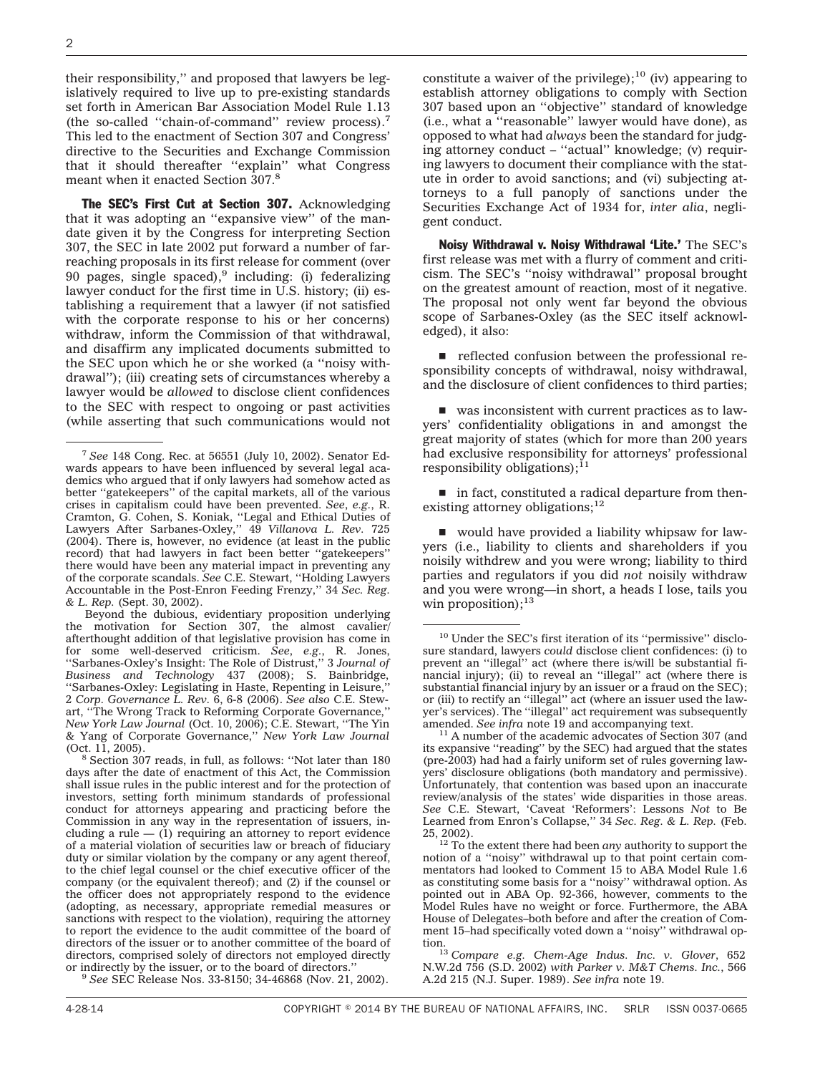their responsibility,'' and proposed that lawyers be legislatively required to live up to pre-existing standards set forth in American Bar Association Model Rule 1.13 (the so-called ''chain-of-command'' review process).7 This led to the enactment of Section 307 and Congress' directive to the Securities and Exchange Commission that it should thereafter ''explain'' what Congress meant when it enacted Section 307.8

The SEC's First Cut at Section 307. Acknowledging that it was adopting an ''expansive view'' of the mandate given it by the Congress for interpreting Section 307, the SEC in late 2002 put forward a number of farreaching proposals in its first release for comment (over 90 pages, single spaced),  $9$  including: (i) federalizing lawyer conduct for the first time in U.S. history; (ii) establishing a requirement that a lawyer (if not satisfied with the corporate response to his or her concerns) withdraw, inform the Commission of that withdrawal, and disaffirm any implicated documents submitted to the SEC upon which he or she worked (a ''noisy withdrawal''); (iii) creating sets of circumstances whereby a lawyer would be *allowed* to disclose client confidences to the SEC with respect to ongoing or past activities (while asserting that such communications would not

Beyond the dubious, evidentiary proposition underlying the motivation for Section 307, the almost cavalier/ afterthought addition of that legislative provision has come in for some well-deserved criticism. *See*, *e.g.*, R. Jones, ''Sarbanes-Oxley's Insight: The Role of Distrust,'' 3 *Journal of Business and Technology* 437 (2008); S. Bainbridge, ''Sarbanes-Oxley: Legislating in Haste, Repenting in Leisure,'' 2 *Corp. Governance L. Rev.* 6, 6-8 (2006). *See also* C.E. Stewart, ''The Wrong Track to Reforming Corporate Governance,'' *New York Law Journal* (Oct. 10, 2006); C.E. Stewart, ''The Yin & Yang of Corporate Governance,'' *New York Law Journal* (Oct. 11, 2005).  $8$  Section 307 reads, in full, as follows: "Not later than 180

days after the date of enactment of this Act, the Commission shall issue rules in the public interest and for the protection of investors, setting forth minimum standards of professional conduct for attorneys appearing and practicing before the Commission in any way in the representation of issuers, including a rule  $-$  (1) requiring an attorney to report evidence of a material violation of securities law or breach of fiduciary duty or similar violation by the company or any agent thereof, to the chief legal counsel or the chief executive officer of the company (or the equivalent thereof); and (2) if the counsel or the officer does not appropriately respond to the evidence (adopting, as necessary, appropriate remedial measures or sanctions with respect to the violation), requiring the attorney to report the evidence to the audit committee of the board of directors of the issuer or to another committee of the board of directors, comprised solely of directors not employed directly or indirectly by the issuer, or to the board of directors."

<sup>3</sup> See SEC Release Nos. 33-8150; 34-46868 (Nov. 21, 2002).

constitute a waiver of the privilege); $^{10}$  (iv) appearing to establish attorney obligations to comply with Section 307 based upon an ''objective'' standard of knowledge (i.e., what a ''reasonable'' lawyer would have done), as opposed to what had *always* been the standard for judging attorney conduct – ''actual'' knowledge; (v) requiring lawyers to document their compliance with the statute in order to avoid sanctions; and (vi) subjecting attorneys to a full panoply of sanctions under the Securities Exchange Act of 1934 for, *inter alia*, negligent conduct.

Noisy Withdrawal v. Noisy Withdrawal 'Lite.' The SEC's first release was met with a flurry of comment and criticism. The SEC's ''noisy withdrawal'' proposal brought on the greatest amount of reaction, most of it negative. The proposal not only went far beyond the obvious scope of Sarbanes-Oxley (as the SEC itself acknowledged), it also:

 $\blacksquare$  reflected confusion between the professional responsibility concepts of withdrawal, noisy withdrawal, and the disclosure of client confidences to third parties;

 $\blacksquare$  was inconsistent with current practices as to lawyers' confidentiality obligations in and amongst the great majority of states (which for more than 200 years had exclusive responsibility for attorneys' professional responsibility obligations); $^{11}$ 

 $\blacksquare$  in fact, constituted a radical departure from thenexisting attorney obligations;<sup>12</sup>

 $\blacksquare$  would have provided a liability whipsaw for lawyers (i.e., liability to clients and shareholders if you noisily withdrew and you were wrong; liability to third parties and regulators if you did *not* noisily withdraw and you were wrong—in short, a heads I lose, tails you win proposition);<sup>13</sup>

<sup>7</sup> *See* 148 Cong. Rec. at 56551 (July 10, 2002). Senator Edwards appears to have been influenced by several legal academics who argued that if only lawyers had somehow acted as better ''gatekeepers'' of the capital markets, all of the various crises in capitalism could have been prevented. *See*, *e.g.*, R. Cramton, G. Cohen, S. Koniak, ''Legal and Ethical Duties of Lawyers After Sarbanes-Oxley,'' 49 *Villanova L. Rev.* 725 (2004). There is, however, no evidence (at least in the public record) that had lawyers in fact been better ''gatekeepers'' there would have been any material impact in preventing any of the corporate scandals. *See* C.E. Stewart, ''Holding Lawyers Accountable in the Post-Enron Feeding Frenzy,'' 34 *Sec. Reg. & L. Rep.* (Sept. 30, 2002).

<sup>&</sup>lt;sup>10</sup> Under the SEC's first iteration of its "permissive" disclosure standard, lawyers *could* disclose client confidences: (i) to prevent an ''illegal'' act (where there is/will be substantial financial injury); (ii) to reveal an ''illegal'' act (where there is substantial financial injury by an issuer or a fraud on the SEC); or (iii) to rectify an ''illegal'' act (where an issuer used the lawyer's services). The ''illegal'' act requirement was subsequently amended. *See infra* note 19 and accompanying text.<br><sup>11</sup> A number of the academic advocates of Section 307 (and

its expansive ''reading'' by the SEC) had argued that the states (pre-2003) had had a fairly uniform set of rules governing lawyers' disclosure obligations (both mandatory and permissive). Unfortunately, that contention was based upon an inaccurate review/analysis of the states' wide disparities in those areas. *See* C.E. Stewart, 'Caveat 'Reformers': Lessons *Not* to Be Learned from Enron's Collapse,'' 34 *Sec. Reg. & L. Rep.* (Feb.

 $12\%$ <sup>12</sup> To the extent there had been *any* authority to support the notion of a ''noisy'' withdrawal up to that point certain commentators had looked to Comment 15 to ABA Model Rule 1.6 as constituting some basis for a ''noisy'' withdrawal option. As pointed out in ABA Op. 92-366, however, comments to the Model Rules have no weight or force. Furthermore, the ABA House of Delegates–both before and after the creation of Comment 15–had specifically voted down a ''noisy'' withdrawal op-

tion.13 *Compare e.g. Chem-Age Indus. Inc. v. Glover*, 652 N.W.2d 756 (S.D. 2002) *with Parker v. M&T Chems. Inc.*, 566 A.2d 215 (N.J. Super. 1989). *See infra* note 19.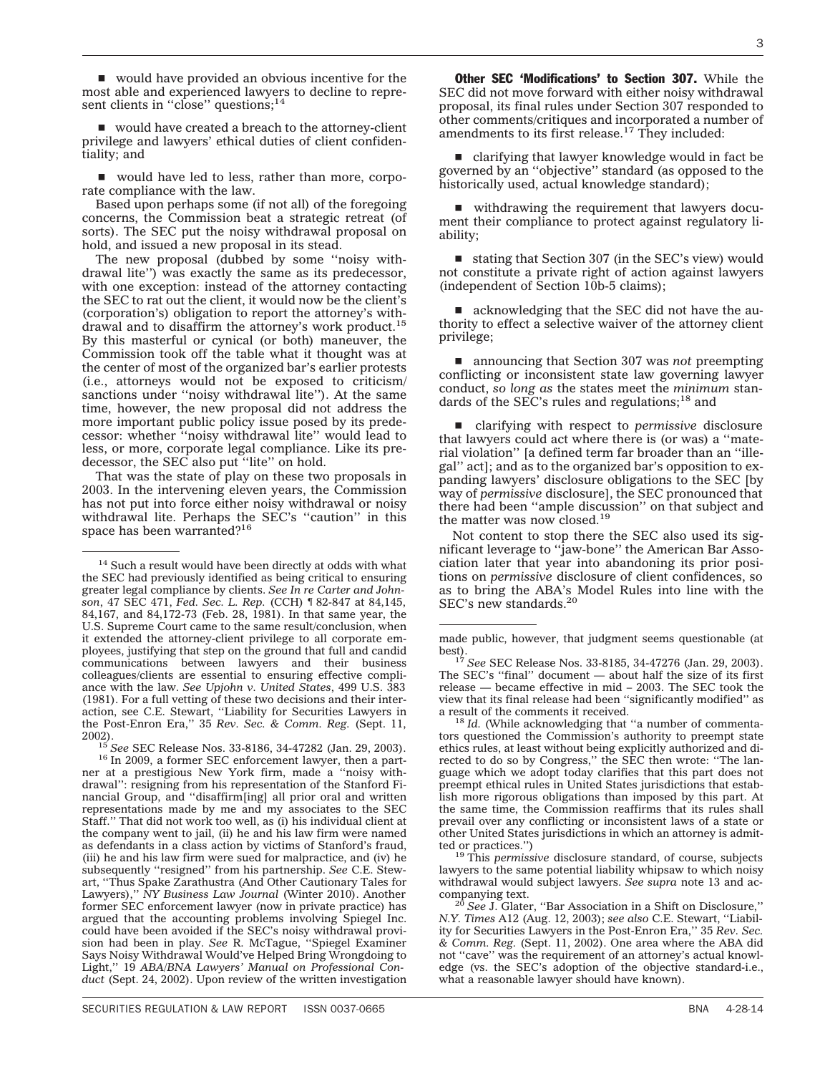$\blacksquare$  would have provided an obvious incentive for the most able and experienced lawyers to decline to represent clients in "close" questions;<sup>14</sup>

 $\blacksquare$  would have created a breach to the attorney-client privilege and lawyers' ethical duties of client confidentiality; and

would have led to less, rather than more, corporate compliance with the law.

Based upon perhaps some (if not all) of the foregoing concerns, the Commission beat a strategic retreat (of sorts). The SEC put the noisy withdrawal proposal on hold, and issued a new proposal in its stead.

The new proposal (dubbed by some ''noisy withdrawal lite'') was exactly the same as its predecessor, with one exception: instead of the attorney contacting the SEC to rat out the client, it would now be the client's (corporation's) obligation to report the attorney's withdrawal and to disaffirm the attorney's work product.15 By this masterful or cynical (or both) maneuver, the Commission took off the table what it thought was at the center of most of the organized bar's earlier protests (i.e., attorneys would not be exposed to criticism/ sanctions under "noisy withdrawal lite"). At the same time, however, the new proposal did not address the more important public policy issue posed by its predecessor: whether ''noisy withdrawal lite'' would lead to less, or more, corporate legal compliance. Like its predecessor, the SEC also put ''lite'' on hold.

That was the state of play on these two proposals in 2003. In the intervening eleven years, the Commission has not put into force either noisy withdrawal or noisy withdrawal lite. Perhaps the SEC's ''caution'' in this space has been warranted?16

Other SEC 'Modifications' to Section 307. While the SEC did not move forward with either noisy withdrawal proposal, its final rules under Section 307 responded to other comments/critiques and incorporated a number of amendments to its first release.<sup>17</sup> They included:

 $\blacksquare$  clarifying that lawyer knowledge would in fact be governed by an ''objective'' standard (as opposed to the historically used, actual knowledge standard);

 $\blacksquare$  withdrawing the requirement that lawyers document their compliance to protect against regulatory liability;

 $\blacksquare$  stating that Section 307 (in the SEC's view) would not constitute a private right of action against lawyers  $(independent of Section 10b-5 claims);$ 

acknowledging that the SEC did not have the authority to effect a selective waiver of the attorney client privilege;

■ announcing that Section 307 was *not* preempting conflicting or inconsistent state law governing lawyer conduct, *so long as* the states meet the *minimum* standards of the SEC's rules and regulations;<sup>18</sup> and

■ clarifying with respect to *permissive* disclosure that lawyers could act where there is (or was) a ''material violation'' [a defined term far broader than an ''illegal'' act]; and as to the organized bar's opposition to expanding lawyers' disclosure obligations to the SEC [by way of *permissive* disclosure], the SEC pronounced that there had been ''ample discussion'' on that subject and the matter was now closed.<sup>19</sup>

Not content to stop there the SEC also used its significant leverage to ''jaw-bone'' the American Bar Association later that year into abandoning its prior positions on *permissive* disclosure of client confidences, so as to bring the ABA's Model Rules into line with the SEC's new standards.<sup>20</sup>

<sup>18</sup> Id. (While acknowledging that "a number of commentators questioned the Commission's authority to preempt state ethics rules, at least without being explicitly authorized and directed to do so by Congress," the SEC then wrote: "The language which we adopt today clarifies that this part does not preempt ethical rules in United States jurisdictions that establish more rigorous obligations than imposed by this part. At the same time, the Commission reaffirms that its rules shall prevail over any conflicting or inconsistent laws of a state or other United States jurisdictions in which an attorney is admit-

<sup>19</sup> This *permissive* disclosure standard, of course, subjects lawyers to the same potential liability whipsaw to which noisy withdrawal would subject lawyers. *See supra* note 13 and ac-

<sup>20</sup> See J. Glater, "Bar Association in a Shift on Disclosure," *N.Y. Times* A12 (Aug. 12, 2003); *see also* C.E. Stewart, ''Liability for Securities Lawyers in the Post-Enron Era,'' 35 *Rev. Sec. & Comm. Reg.* (Sept. 11, 2002). One area where the ABA did not "cave" was the requirement of an attorney's actual knowledge (vs. the SEC's adoption of the objective standard-i.e., what a reasonable lawyer should have known).

<sup>&</sup>lt;sup>14</sup> Such a result would have been directly at odds with what the SEC had previously identified as being critical to ensuring greater legal compliance by clients. *See In re Carter and Johnson*, 47 SEC 471, *Fed. Sec. L. Rep.* (CCH) ¶ 82-847 at 84,145, 84,167, and 84,172-73 (Feb. 28, 1981). In that same year, the U.S. Supreme Court came to the same result/conclusion, when it extended the attorney-client privilege to all corporate employees, justifying that step on the ground that full and candid communications between lawyers and their business colleagues/clients are essential to ensuring effective compliance with the law. *See Upjohn v. United States*, 499 U.S. 383 (1981). For a full vetting of these two decisions and their interaction, see C.E. Stewart, ''Liability for Securities Lawyers in the Post-Enron Era,'' 35 *Rev. Sec. & Comm. Reg.* (Sept. 11,

<sup>2002).</sup> <sup>15</sup> *See* SEC Release Nos. 33-8186, 34-47282 (Jan. 29, 2003). <sup>16</sup> In 2009, a former SEC enforcement lawyer, then a partner at a prestigious New York firm, made a ''noisy withdrawal'': resigning from his representation of the Stanford Financial Group, and ''disaffirm[ing] all prior oral and written representations made by me and my associates to the SEC Staff.'' That did not work too well, as (i) his individual client at the company went to jail, (ii) he and his law firm were named as defendants in a class action by victims of Stanford's fraud, (iii) he and his law firm were sued for malpractice, and (iv) he subsequently ''resigned'' from his partnership. *See* C.E. Stewart, ''Thus Spake Zarathustra (And Other Cautionary Tales for Lawyers),'' *NY Business Law Journal* (Winter 2010). Another former SEC enforcement lawyer (now in private practice) has argued that the accounting problems involving Spiegel Inc. could have been avoided if the SEC's noisy withdrawal provision had been in play. *See* R. McTague, ''Spiegel Examiner Says Noisy Withdrawal Would've Helped Bring Wrongdoing to Light,'' 19 *ABA/BNA Lawyers' Manual on Professional Conduct* (Sept. 24, 2002). Upon review of the written investigation

made public, however, that judgment seems questionable (at

best). <sup>17</sup> *See* SEC Release Nos. 33-8185, 34-47276 (Jan. 29, 2003). The SEC's ''final'' document — about half the size of its first release — became effective in mid – 2003. The SEC took the view that its final release had been ''significantly modified'' as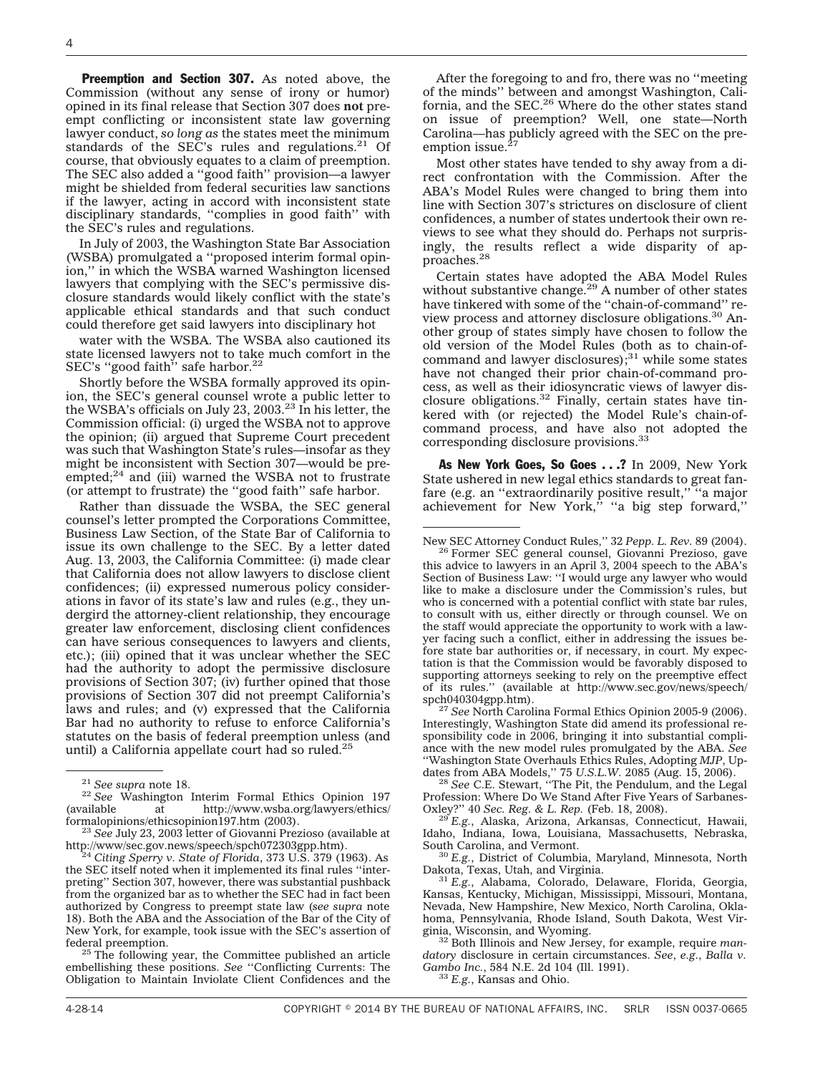Preemption and Section 307. As noted above, the Commission (without any sense of irony or humor) opined in its final release that Section 307 does **not** preempt conflicting or inconsistent state law governing lawyer conduct, *so long as* the states meet the minimum standards of the SEC's rules and regulations. $21$  Of course, that obviously equates to a claim of preemption. The SEC also added a ''good faith'' provision—a lawyer might be shielded from federal securities law sanctions if the lawyer, acting in accord with inconsistent state disciplinary standards, ''complies in good faith'' with the SEC's rules and regulations.

In July of 2003, the Washington State Bar Association (WSBA) promulgated a ''proposed interim formal opinion,'' in which the WSBA warned Washington licensed lawyers that complying with the SEC's permissive disclosure standards would likely conflict with the state's applicable ethical standards and that such conduct could therefore get said lawyers into disciplinary hot

water with the WSBA. The WSBA also cautioned its state licensed lawyers not to take much comfort in the SEC's "good faith" safe harbor.<sup>22</sup>

Shortly before the WSBA formally approved its opinion, the SEC's general counsel wrote a public letter to the WSBA's officials on July 23, 2003.<sup>23</sup> In his letter, the Commission official: (i) urged the WSBA not to approve the opinion; (ii) argued that Supreme Court precedent was such that Washington State's rules—insofar as they might be inconsistent with Section 307—would be preempted;<sup>24</sup> and (iii) warned the WSBA not to frustrate (or attempt to frustrate) the ''good faith'' safe harbor.

Rather than dissuade the WSBA, the SEC general counsel's letter prompted the Corporations Committee, Business Law Section, of the State Bar of California to issue its own challenge to the SEC. By a letter dated Aug. 13, 2003, the California Committee: (i) made clear that California does not allow lawyers to disclose client confidences; (ii) expressed numerous policy considerations in favor of its state's law and rules (e.g., they undergird the attorney-client relationship, they encourage greater law enforcement, disclosing client confidences can have serious consequences to lawyers and clients, etc.); (iii) opined that it was unclear whether the SEC had the authority to adopt the permissive disclosure provisions of Section 307; (iv) further opined that those provisions of Section 307 did not preempt California's laws and rules; and (v) expressed that the California Bar had no authority to refuse to enforce California's statutes on the basis of federal preemption unless (and until) a California appellate court had so ruled.<sup>25</sup>

federal preemption. <sup>25</sup> The following year, the Committee published an article embellishing these positions. *See* ''Conflicting Currents: The Obligation to Maintain Inviolate Client Confidences and the

After the foregoing to and fro, there was no ''meeting of the minds'' between and amongst Washington, California, and the SEC. $^{26}$  Where do the other states stand on issue of preemption? Well, one state—North Carolina—has publicly agreed with the SEC on the preemption issue. $27$ 

Most other states have tended to shy away from a direct confrontation with the Commission. After the ABA's Model Rules were changed to bring them into line with Section 307's strictures on disclosure of client confidences, a number of states undertook their own reviews to see what they should do. Perhaps not surprisingly, the results reflect a wide disparity of approaches.28

Certain states have adopted the ABA Model Rules without substantive change.<sup>29</sup> A number of other states have tinkered with some of the ''chain-of-command'' review process and attorney disclosure obligations.<sup>30</sup> Another group of states simply have chosen to follow the old version of the Model Rules (both as to chain-ofcommand and lawyer disclosures); $31$  while some states have not changed their prior chain-of-command process, as well as their idiosyncratic views of lawyer disclosure obligations.<sup>32</sup> Finally, certain states have tinkered with (or rejected) the Model Rule's chain-ofcommand process, and have also not adopted the corresponding disclosure provisions.33

As New York Goes, So Goes . . .? In 2009, New York State ushered in new legal ethics standards to great fanfare (e.g. an ''extraordinarily positive result,'' ''a major achievement for New York,'' ''a big step forward,''

Interestingly, Washington State did amend its professional responsibility code in 2006, bringing it into substantial compliance with the new model rules promulgated by the ABA. *See* ''Washington State Overhauls Ethics Rules, Adopting *MJP*, Updates from ABA Models,'' 75 *U.S.L.W.* 2085 (Aug. 15, 2006). <sup>28</sup> *See* C.E. Stewart, "The Pit, the Pendulum, and the Legal

Profession: Where Do We Stand After Five Years of Sarbanes-Oxley?" 40 Sec. Reg. & L. Rep. (Feb. 18, 2008).

<sup>29</sup> E.g., Alaska, Arizona, Arkansas, Connecticut, Hawaii, Idaho, Indiana, Iowa, Louisiana, Massachusetts, Nebraska,

South Carolina, and Vermont.<br><sup>30</sup> *E.g.*, District of Columbia, Maryland, Minnesota, North Dakota, Texas, Utah, and Virginia.

<sup>31</sup> E.g., Alabama, Colorado, Delaware, Florida, Georgia, Kansas, Kentucky, Michigan, Mississippi, Missouri, Montana, Nevada, New Hampshire, New Mexico, North Carolina, Oklahoma, Pennsylvania, Rhode Island, South Dakota, West Vir-

<sup>32</sup> Both Illinois and New Jersey, for example, require *mandatory* disclosure in certain circumstances. *See*, *e.g.*, *Balla v. Gambo Inc.*, 584 N.E. 2d 104 (Ill. 1991). <sup>33</sup> *E.g.*, Kansas and Ohio.

<sup>&</sup>lt;sup>21</sup> *See supra* note 18.<br><sup>22</sup> *See* Washington Interim Formal Ethics Opinion 197<br>(available at http://www.wsba.org/lawyers/ethics/ (available at [http://www.wsba.org/lawyers/ethics/](http://www.wsba.org/lawyers/ethics/formalopinions/ethicsopinion197.htm)

<sup>&</sup>lt;sup>23</sup> See July 23, 2003 letter of Giovanni Prezioso (available at http://www/sec.gov.news/speech/spch072303gpp.htm).

<sup>&</sup>lt;sup>4</sup> Citing Sperry v. State of Florida, 373 U.S. 379 (1963). As the SEC itself noted when it implemented its final rules ''interpreting'' Section 307, however, there was substantial pushback from the organized bar as to whether the SEC had in fact been authorized by Congress to preempt state law (*see supra* note 18). Both the ABA and the Association of the Bar of the City of New York, for example, took issue with the SEC's assertion of

New SEC Attorney Conduct Rules,'' 32 *Pepp. L. Rev.* 89 (2004). <sup>26</sup> Former SEC general counsel, Giovanni Prezioso, gave this advice to lawyers in an April 3, 2004 speech to the ABA's Section of Business Law: ''I would urge any lawyer who would like to make a disclosure under the Commission's rules, but who is concerned with a potential conflict with state bar rules, to consult with us, either directly or through counsel. We on the staff would appreciate the opportunity to work with a lawyer facing such a conflict, either in addressing the issues before state bar authorities or, if necessary, in court. My expectation is that the Commission would be favorably disposed to supporting attorneys seeking to rely on the preemptive effect of its rules.'' (available at [http://www.sec.gov/news/speech/](http://www.sec.gov/news/speech/spch040304gpp.htm) [spch040304gpp.htm\)](http://www.sec.gov/news/speech/spch040304gpp.htm). <sup>27</sup> *See* North Carolina Formal Ethics Opinion 2005-9 (2006).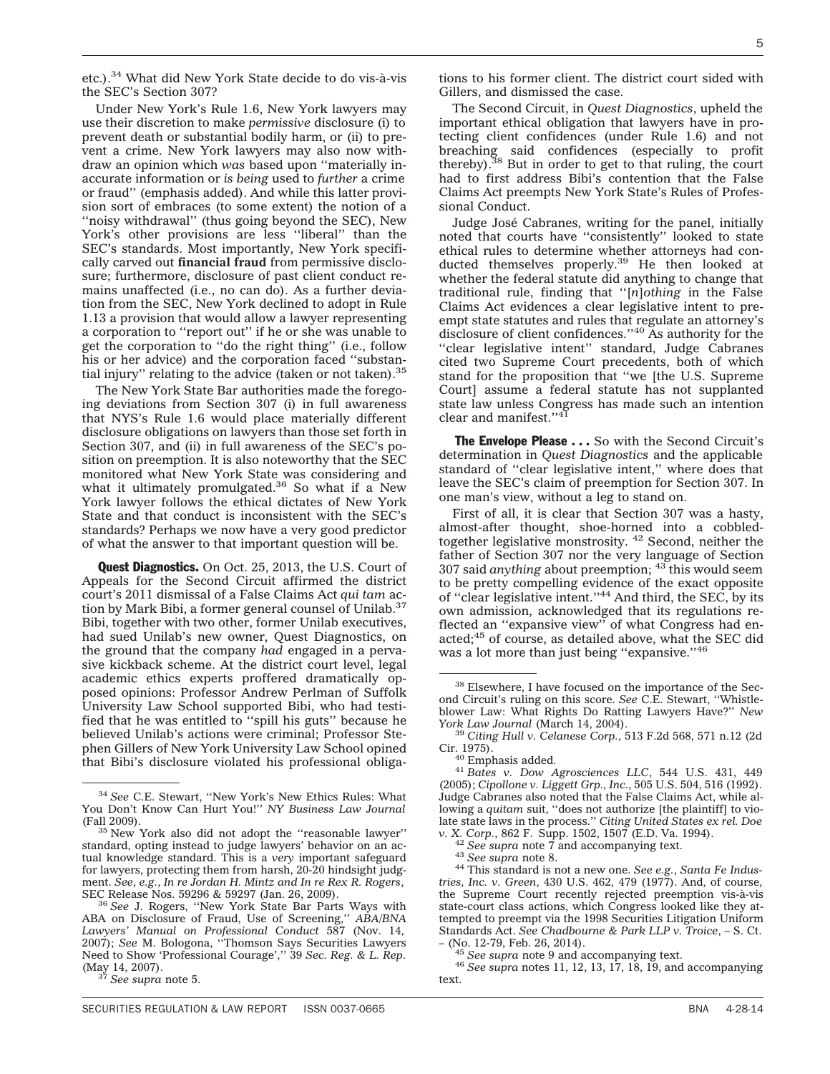etc.).<sup>34</sup> What did New York State decide to do vis-à-vis the SEC's Section 307?

Under New York's Rule 1.6, New York lawyers may use their discretion to make *permissive* disclosure (i) to prevent death or substantial bodily harm, or (ii) to prevent a crime. New York lawyers may also now withdraw an opinion which *was* based upon ''materially inaccurate information or *is being* used to *further* a crime or fraud'' (emphasis added). And while this latter provision sort of embraces (to some extent) the notion of a "noisy withdrawal" (thus going beyond the SEC), New York's other provisions are less ''liberal'' than the SEC's standards. Most importantly, New York specifically carved out **financial fraud** from permissive disclosure; furthermore, disclosure of past client conduct remains unaffected (i.e., no can do). As a further deviation from the SEC, New York declined to adopt in Rule 1.13 a provision that would allow a lawyer representing a corporation to ''report out'' if he or she was unable to get the corporation to ''do the right thing'' (i.e., follow his or her advice) and the corporation faced ''substantial injury" relating to the advice (taken or not taken).<sup>35</sup>

The New York State Bar authorities made the foregoing deviations from Section 307 (i) in full awareness that NYS's Rule 1.6 would place materially different disclosure obligations on lawyers than those set forth in Section 307, and (ii) in full awareness of the SEC's position on preemption. It is also noteworthy that the SEC monitored what New York State was considering and what it ultimately promulgated.<sup>36</sup> So what if a New York lawyer follows the ethical dictates of New York State and that conduct is inconsistent with the SEC's standards? Perhaps we now have a very good predictor of what the answer to that important question will be.

Quest Diagnostics. On Oct. 25, 2013, the U.S. Court of Appeals for the Second Circuit affirmed the district court's 2011 dismissal of a False Claims Act *qui tam* action by Mark Bibi, a former general counsel of Unilab.<sup>37</sup> Bibi, together with two other, former Unilab executives, had sued Unilab's new owner, Quest Diagnostics, on the ground that the company *had* engaged in a pervasive kickback scheme. At the district court level, legal academic ethics experts proffered dramatically opposed opinions: Professor Andrew Perlman of Suffolk University Law School supported Bibi, who had testified that he was entitled to ''spill his guts'' because he believed Unilab's actions were criminal; Professor Stephen Gillers of New York University Law School opined that Bibi's disclosure violated his professional obligations to his former client. The district court sided with Gillers, and dismissed the case.

The Second Circuit, in *Quest Diagnostics*, upheld the important ethical obligation that lawyers have in protecting client confidences (under Rule 1.6) and not breaching said confidences (especially to profit thereby).38 But in order to get to that ruling, the court had to first address Bibi's contention that the False Claims Act preempts New York State's Rules of Professional Conduct.

Judge José Cabranes, writing for the panel, initially noted that courts have ''consistently'' looked to state ethical rules to determine whether attorneys had conducted themselves properly.<sup>39</sup> He then looked at whether the federal statute did anything to change that traditional rule, finding that ''[*n*]*othing* in the False Claims Act evidences a clear legislative intent to preempt state statutes and rules that regulate an attorney's disclosure of client confidences.''40 As authority for the "clear legislative intent" standard, Judge Cabranes cited two Supreme Court precedents, both of which stand for the proposition that ''we [the U.S. Supreme Court] assume a federal statute has not supplanted state law unless Congress has made such an intention clear and manifest."41

The Envelope Please . . . So with the Second Circuit's determination in *Quest Diagnostics* and the applicable standard of ''clear legislative intent,'' where does that leave the SEC's claim of preemption for Section 307. In one man's view, without a leg to stand on.

First of all, it is clear that Section 307 was a hasty, almost-after thought, shoe-horned into a cobbledtogether legislative monstrosity. <sup>42</sup> Second, neither the father of Section 307 nor the very language of Section 307 said *anything* about preemption; <sup>43</sup> this would seem to be pretty compelling evidence of the exact opposite of "clear legislative intent."<sup>44</sup> And third, the SEC, by its own admission, acknowledged that its regulations reflected an ''expansive view'' of what Congress had enacted;<sup>45</sup> of course, as detailed above, what the SEC did was a lot more than just being "expansive."<sup>46</sup>

<sup>34</sup> *See* C.E. Stewart, ''New York's New Ethics Rules: What You Don't Know Can Hurt You!'' *NY Business Law Journal*

 $35$  New York also did not adopt the "reasonable lawyer" standard, opting instead to judge lawyers' behavior on an actual knowledge standard. This is a *very* important safeguard for lawyers, protecting them from harsh, 20-20 hindsight judgment. *See*, *e.g.*, *In re Jordan H. Mintz and In re Rex R. Rogers*,

<sup>&</sup>lt;sup>36</sup> See J. Rogers, "New York State Bar Parts Ways with ABA on Disclosure of Fraud, Use of Screening,'' *ABA/BNA Lawyers' Manual on Professional Conduct* 587 (Nov. 14, 2007); *See* M. Bologona, ''Thomson Says Securities Lawyers Need to Show 'Professional Courage','' 39 *Sec. Reg. & L. Rep.* (May 14, 2007). <sup>37</sup> *See supra* note 5.

<sup>38</sup> Elsewhere, I have focused on the importance of the Second Circuit's ruling on this score. *See* C.E. Stewart, ''Whistleblower Law: What Rights Do Ratting Lawyers Have?" *New*<br>York Law Journal (March 14, 2004).<br><sup>39</sup> Citing Hull y Celenese Corp. 513 F.3d 568, 571 p.12.04.

<sup>&</sup>lt;sup>39</sup> *Citing Hull v. Celanese Corp.*, 513 F.2d 568, 571 n.12 (2d Cir. 1975).<br><sup>40</sup> Emphasis added.

<sup>&</sup>lt;sup>41</sup> Bates v. Dow Agrosciences LLC, 544 U.S. 431, 449 (2005); *Cipollone v. Liggett Grp., Inc.*, 505 U.S. 504, 516 (1992). Judge Cabranes also noted that the False Claims Act, while allowing a *quitam* suit, ''does not authorize [the plaintiff] to violate state laws in the process.'' *Citing United States ex rel. Doe*

<sup>&</sup>lt;sup>42</sup> See supra note 7 and accompanying text.<br><sup>43</sup> See supra note 8.<br><sup>44</sup> This standard is not a new one. *See e.g.*, *Santa Fe Industries, Inc. v. Green*, 430 U.S. 462, 479 (1977). And, of course, the Supreme Court recently rejected preemption vis-à-vis state-court class actions, which Congress looked like they attempted to preempt via the 1998 Securities Litigation Uniform Standards Act. *See Chadbourne & Park LLP v. Troice*, – S. Ct.

<sup>– (</sup>No. 12-79, Feb. 26, 2014). <sup>45</sup> *See supra* note 9 and accompanying text. <sup>46</sup> *See supra* notes 11, 12, 13, 17, 18, 19, and accompanying text.